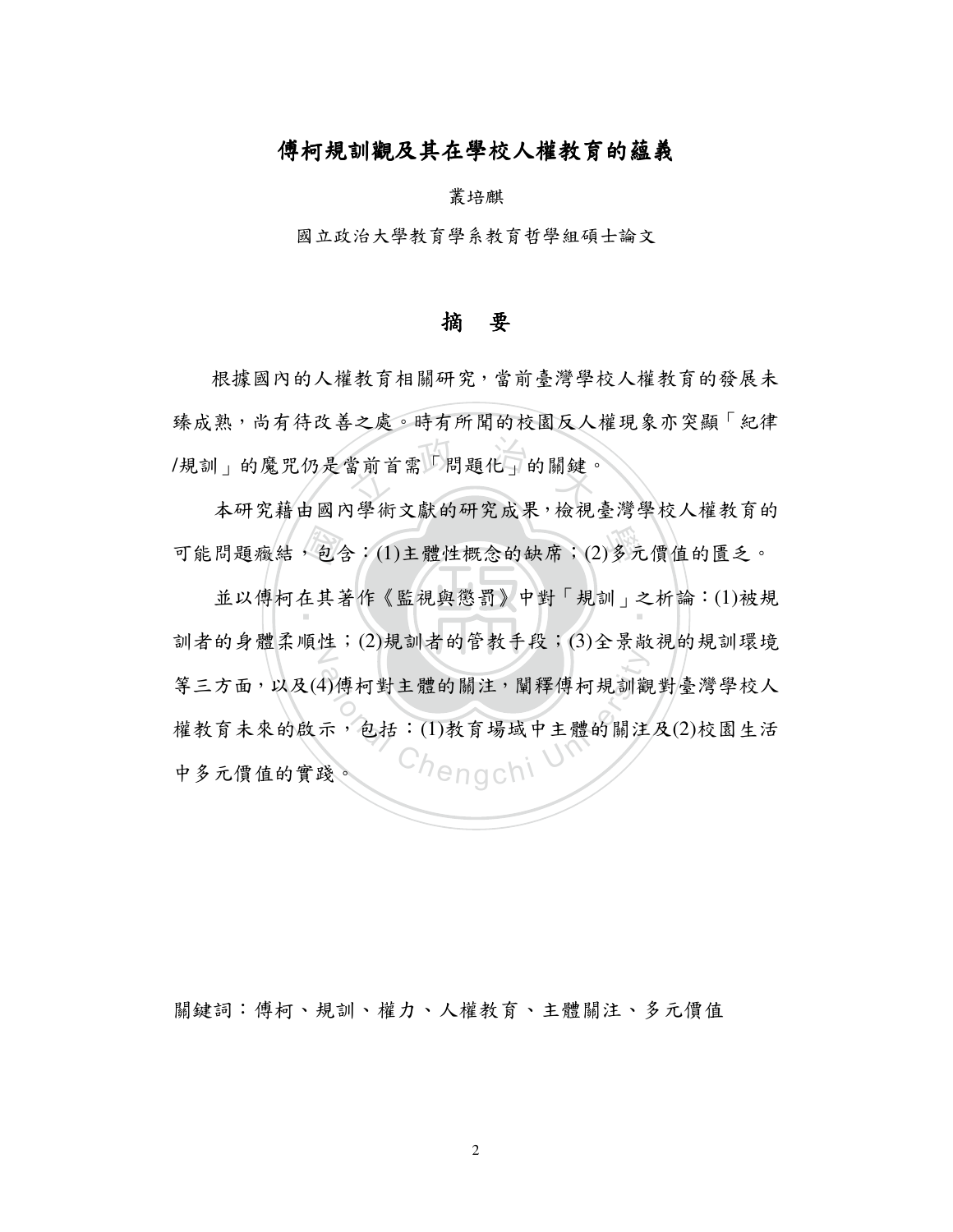## 傅柯規訓觀及其在學校人權教育的蘊義

叢培麒

國立政治大學教育學系教育哲學組碩士論文

## 摘要

當前首需「問題化」的關鍵。 根據國內的人權教育相關研究,當前臺灣學校人權教育的發展未 臻成熟,尚有待改善之處。時有所聞的校園反人權現象亦突顯「紀律 /規訓」的魔咒仍是當前首需「問題化」的關鍵。

本研究藉由國內學術文獻的研究成果,檢視臺灣學校人權教育的

可能問題癥結,包含:(1)主體性概念的缺席;(2)多元價值的匱乏。<br>並以傅柯在其著作《監視與懲罰》中對「規訓」之析論:(1)被規 ‧ 並以傅柯在其著作《監視與懲罰》中對「規訓」之析論:(1)被規 訓者的身體柔順性;(2)規訓者的管教手段;(3)全景敞視的規訓環境 4)傅柯對主體的關注, 闡釋傅柯規訓觀<br>示, 包括:(1)教育場域中主體的關注 等三方面,以及(4)傅柯對主體的關注,闡釋傅柯規訓觀對臺灣學校人 權教育未來的啟示,包括:(1)教育場域中主體的關注及(2)校園生活 中多元價值的實踐。

關鍵詞:傅柯、規訓、權力、人權教育、主體關注、多元價值